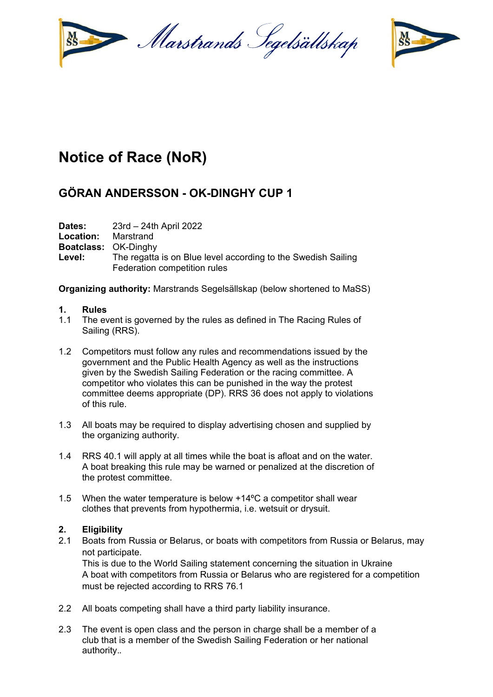



# **Notice of Race (NoR)**

## **GÖRAN ANDERSSON - OK-DINGHY CUP 1**

**Dates:** 23rd – 24th April 2022

**Location:** Marstrand

**Boatclass:** OK-Dinghy

Level: The regatta is on Blue level according to the Swedish Sailing Federation competition rules

**Organizing authority:** Marstrands Segelsällskap (below shortened to MaSS)

#### **1. Rules**

- 1.1 The event is governed by the rules as defined in The Racing Rules of Sailing (RRS).
- 1.2 Competitors must follow any rules and recommendations issued by the government and the Public Health Agency as well as the instructions given by the Swedish Sailing Federation or the racing committee. A competitor who violates this can be punished in the way the protest committee deems appropriate (DP). RRS 36 does not apply to violations of this rule.
- 1.3 All boats may be required to display advertising chosen and supplied by the organizing authority.
- 1.4 RRS 40.1 will apply at all times while the boat is afloat and on the water. A boat breaking this rule may be warned or penalized at the discretion of the protest committee.
- 1.5 When the water temperature is below +14ºC a competitor shall wear clothes that prevents from hypothermia, i.e. wetsuit or drysuit.

### **2. Eligibility**

2.1 Boats from Russia or Belarus, or boats with competitors from Russia or Belarus, may not participate.

This is due to the World Sailing statement concerning the situation in Ukraine A boat with competitors from Russia or Belarus who are registered for a competition must be rejected according to RRS 76.1

- 2.2 All boats competing shall have a third party liability insurance.
- 2.3 The event is open class and the person in charge shall be a member of a club that is a member of the Swedish Sailing Federation or her national authority.*.*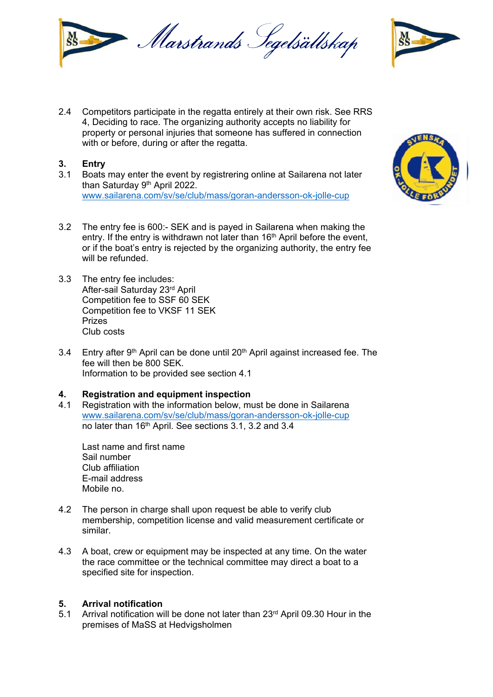

2.4 Competitors participate in the regatta entirely at their own risk. See RRS 4, Deciding to race. The organizing authority accepts no liability for property or personal injuries that someone has suffered in connection with or before, during or after the regatta.

#### **3. Entry**

- 3.1 Boats may enter the event by registrering online at Sailarena not later than Saturday 9<sup>th</sup> April 2022. www.sailarena.com/sv/se/club/mass/goran-andersson-ok-jolle-cup
- 3.2 The entry fee is 600:- SEK and is payed in Sailarena when making the entry. If the entry is withdrawn not later than 16<sup>th</sup> April before the event, or if the boat's entry is rejected by the organizing authority, the entry fee will be refunded.
- 3.3 The entry fee includes: After-sail Saturday 23rd April Competition fee to SSF 60 SEK Competition fee to VKSF 11 SEK Prizes Club costs
- 3.4 Entry after  $9<sup>th</sup>$  April can be done until 20<sup>th</sup> April against increased fee. The fee will then be 800 SEK. Information to be provided see section 4.1

#### **4. Registration and equipment inspection**

4.1 Registration with the information below, must be done in Sailarena www.sailarena.com/sv/se/club/mass/goran-andersson-ok-jolle-cup no later than 16<sup>th</sup> April. See sections 3.1, 3.2 and 3.4

 Last name and first name Sail number Club affiliation E-mail address Mobile no.

- 4.2 The person in charge shall upon request be able to verify club membership, competition license and valid measurement certificate or similar.
- 4.3 A boat, crew or equipment may be inspected at any time. On the water the race committee or the technical committee may direct a boat to a specified site for inspection.

#### **5. Arrival notification**

5.1 Arrival notification will be done not later than 23<sup>rd</sup> April 09.30 Hour in the premises of MaSS at Hedvigsholmen



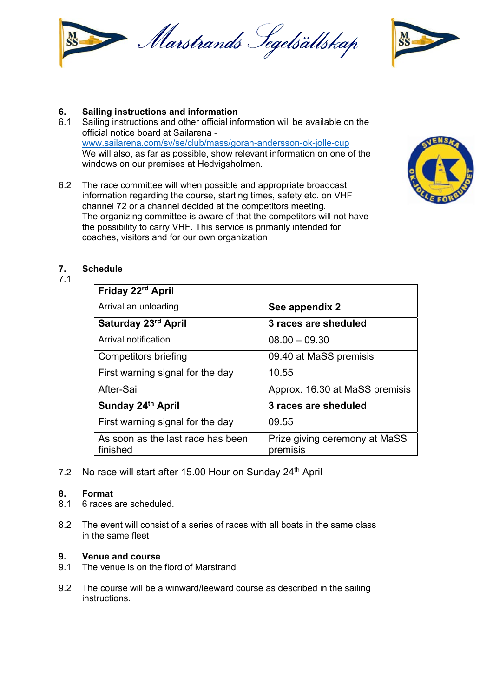



#### **6. Sailing instructions and information**

- 6.1 Sailing instructions and other official information will be available on the official notice board at Sailarena www.sailarena.com/sv/se/club/mass/goran-andersson-ok-jolle-cup We will also, as far as possible, show relevant information on one of the windows on our premises at Hedvigsholmen.
- 6.2 The race committee will when possible and appropriate broadcast information regarding the course, starting times, safety etc. on VHF channel 72 or a channel decided at the competitors meeting. The organizing committee is aware of that the competitors will not have the possibility to carry VHF. This service is primarily intended for coaches, visitors and for our own organization



#### **7. Schedule**

7.1

| Friday 22rd April                             |                                           |
|-----------------------------------------------|-------------------------------------------|
| Arrival an unloading                          | See appendix 2                            |
| Saturday 23rd April                           | 3 races are sheduled                      |
| Arrival notification                          | $08.00 - 09.30$                           |
| Competitors briefing                          | 09.40 at MaSS premisis                    |
| First warning signal for the day              | 10.55                                     |
| After-Sail                                    | Approx. 16.30 at MaSS premisis            |
| Sunday 24th April                             | 3 races are sheduled                      |
| First warning signal for the day              | 09.55                                     |
| As soon as the last race has been<br>finished | Prize giving ceremony at MaSS<br>premisis |

7.2 No race will start after 15.00 Hour on Sunday 24<sup>th</sup> April

#### **8. Format**

- 8.1 6 races are scheduled.
- 8.2 The event will consist of a series of races with all boats in the same class in the same fleet

#### **9. Venue and course**

- 9.1 The venue is on the fiord of Marstrand
- 9.2 The course will be a winward/leeward course as described in the sailing instructions.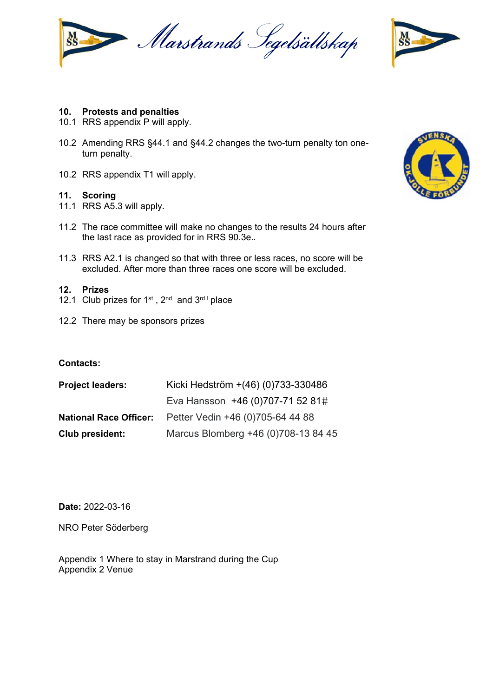



#### **10. Protests and penalties**

- 10.1 RRS appendix P will apply.
- 10.2 Amending RRS §44.1 and §44.2 changes the two-turn penalty ton oneturn penalty.
- 10.2 RRS appendix T1 will apply.

#### **11. Scoring**

- 11.1 RRS A5.3 will apply.
- 11.2 The race committee will make no changes to the results 24 hours after the last race as provided for in RRS 90.3e.*.*
- 11.3 RRS A2.1 is changed so that with three or less races, no score will be excluded. After more than three races one score will be excluded.

#### **12. Prizes**

- 12.1 Club prizes for  $1^{st}$ ,  $2^{nd}$  and  $3^{rd}$  place
- 12.2 There may be sponsors prizes

#### **Contacts:**

| <b>Project leaders:</b>       | Kicki Hedström +(46) (0)733-330486  |
|-------------------------------|-------------------------------------|
|                               | Eva Hansson +46 (0)707-71 52 81#    |
| <b>National Race Officer:</b> | Petter Vedin +46 (0)705-64 44 88    |
| Club president:               | Marcus Blomberg +46 (0)708-13 84 45 |

**Date:** 2022-03-16

NRO Peter Söderberg

Appendix 1 Where to stay in Marstrand during the Cup Appendix 2 Venue

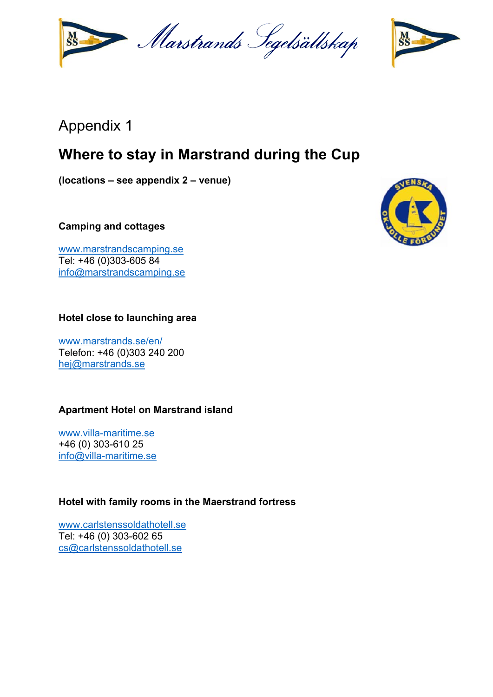Marstrands Segelsällskap



## Appendix 1

## **Where to stay in Marstrand during the Cup**

**(locations – see appendix 2 – venue)** 

**Camping and cottages** 

www.marstrandscamping.se Tel: +46 (0)303-605 84 info@marstrandscamping.se

### **Hotel close to launching area**

www.marstrands.se/en/ Telefon: +46 (0)303 240 200 hej@marstrands.se

## **Apartment Hotel on Marstrand island**

www.villa-maritime.se +46 (0) 303-610 25 info@villa-maritime.se

### **Hotel with family rooms in the Maerstrand fortress**

www.carlstenssoldathotell.se Tel: +46 (0) 303-602 65 cs@carlstenssoldathotell.se